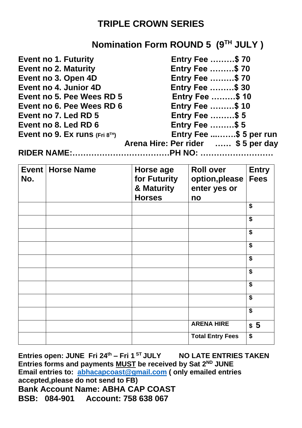## **TRIPLE CROWN SERIES**

## **Nomination Form ROUND 5 (9 TH JULY )**

| <b>Event no 1. Futurity</b>     | <b>Entry Fee \$70</b>              |
|---------------------------------|------------------------------------|
| <b>Event no 2. Maturity</b>     | <b>Entry Fee \$70</b>              |
| Event no 3. Open 4D             | <b>Entry Fee \$70</b>              |
| Event no 4. Junior 4D           | <b>Entry Fee \$ 30</b>             |
| Event no 5. Pee Wees RD 5       | <b>Entry Fee \$10</b>              |
| Event no 6. Pee Wees RD 6       | <b>Entry Fee \$10</b>              |
| Event no 7. Led RD 5            | <b>Entry Fee \$ 5</b>              |
| Event no 8. Led RD 6            | <b>Entry Fee \$5</b>               |
| Event no 9. Ex runs $(Fri 8TH)$ | Entry Fee \$ 5 per run             |
|                                 | Arena Hire: Per rider  \$5 per day |
|                                 |                                    |

| No. | <b>Event   Horse Name</b> | Horse age<br>for Futurity<br>& Maturity<br><b>Horses</b> | <b>Roll over</b><br>option, please<br>enter yes or<br>no | <b>Entry</b><br><b>Fees</b>          |
|-----|---------------------------|----------------------------------------------------------|----------------------------------------------------------|--------------------------------------|
|     |                           |                                                          |                                                          | \$                                   |
|     |                           |                                                          |                                                          | \$                                   |
|     |                           |                                                          |                                                          | \$                                   |
|     |                           |                                                          |                                                          | $\overline{\mathbf{s}}$              |
|     |                           |                                                          |                                                          | \$                                   |
|     |                           |                                                          |                                                          | \$                                   |
|     |                           |                                                          |                                                          | \$                                   |
|     |                           |                                                          |                                                          | $\overline{\boldsymbol{\mathsf{s}}}$ |
|     |                           |                                                          |                                                          | \$                                   |
|     |                           |                                                          | <b>ARENA HIRE</b>                                        | \$5                                  |
|     |                           |                                                          | <b>Total Entry Fees</b>                                  | \$                                   |

**Entries open: JUNE Fri 24 th – Fri 1 ST JULY NO LATE ENTRIES TAKEN** Entries forms and payments **MUST** be received by Sat 2<sup>ND</sup> JUNE **Email entries to: [abhacapcoast@gmail.com](mailto:abhacapcoast@gmail.com) ( only emailed entries accepted,please do not send to FB) Bank Account Name: ABHA CAP COAST BSB: 084-901 Account: 758 638 067**